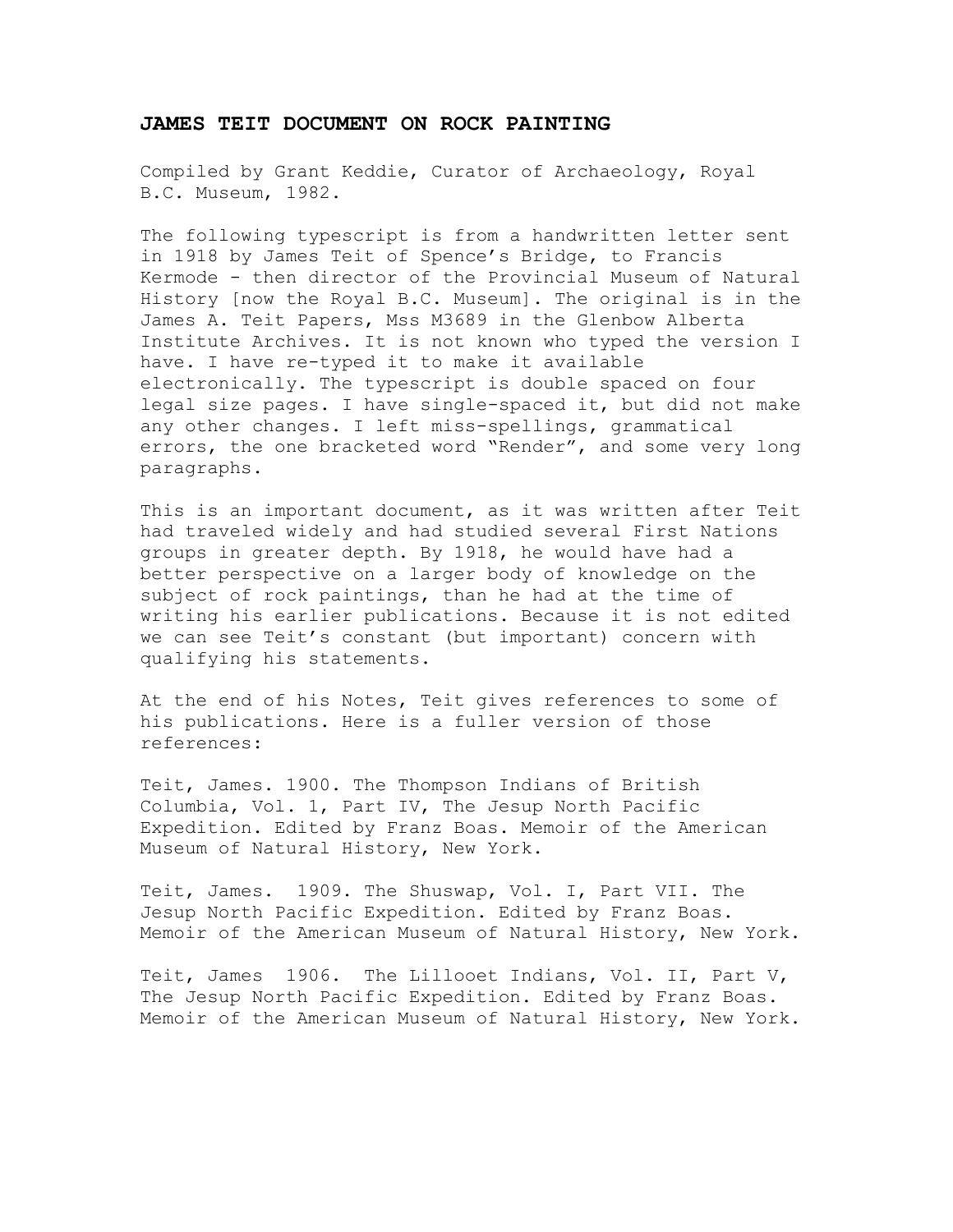## **JAMES TEIT DOCUMENT ON ROCK PAINTING**

Compiled by Grant Keddie, Curator of Archaeology, Royal B.C. Museum, 1982.

The following typescript is from a handwritten letter sent in 1918 by James Teit of Spence's Bridge, to Francis Kermode - then director of the Provincial Museum of Natural History [now the Royal B.C. Museum]. The original is in the James A. Teit Papers, Mss M3689 in the Glenbow Alberta Institute Archives. It is not known who typed the version I have. I have re-typed it to make it available electronically. The typescript is double spaced on four legal size pages. I have single-spaced it, but did not make any other changes. I left miss-spellings, grammatical errors, the one bracketed word "Render", and some very long paragraphs.

This is an important document, as it was written after Teit had traveled widely and had studied several First Nations groups in greater depth. By 1918, he would have had a better perspective on a larger body of knowledge on the subject of rock paintings, than he had at the time of writing his earlier publications. Because it is not edited we can see Teit's constant (but important) concern with qualifying his statements.

At the end of his Notes, Teit gives references to some of his publications. Here is a fuller version of those references:

Teit, James. 1900. The Thompson Indians of British Columbia, Vol. 1, Part IV, The Jesup North Pacific Expedition. Edited by Franz Boas. Memoir of the American Museum of Natural History, New York.

Teit, James. 1909. The Shuswap, Vol. I, Part VII. The Jesup North Pacific Expedition. Edited by Franz Boas. Memoir of the American Museum of Natural History, New York.

Teit, James 1906. The Lillooet Indians, Vol. II, Part V, The Jesup North Pacific Expedition. Edited by Franz Boas. Memoir of the American Museum of Natural History, New York.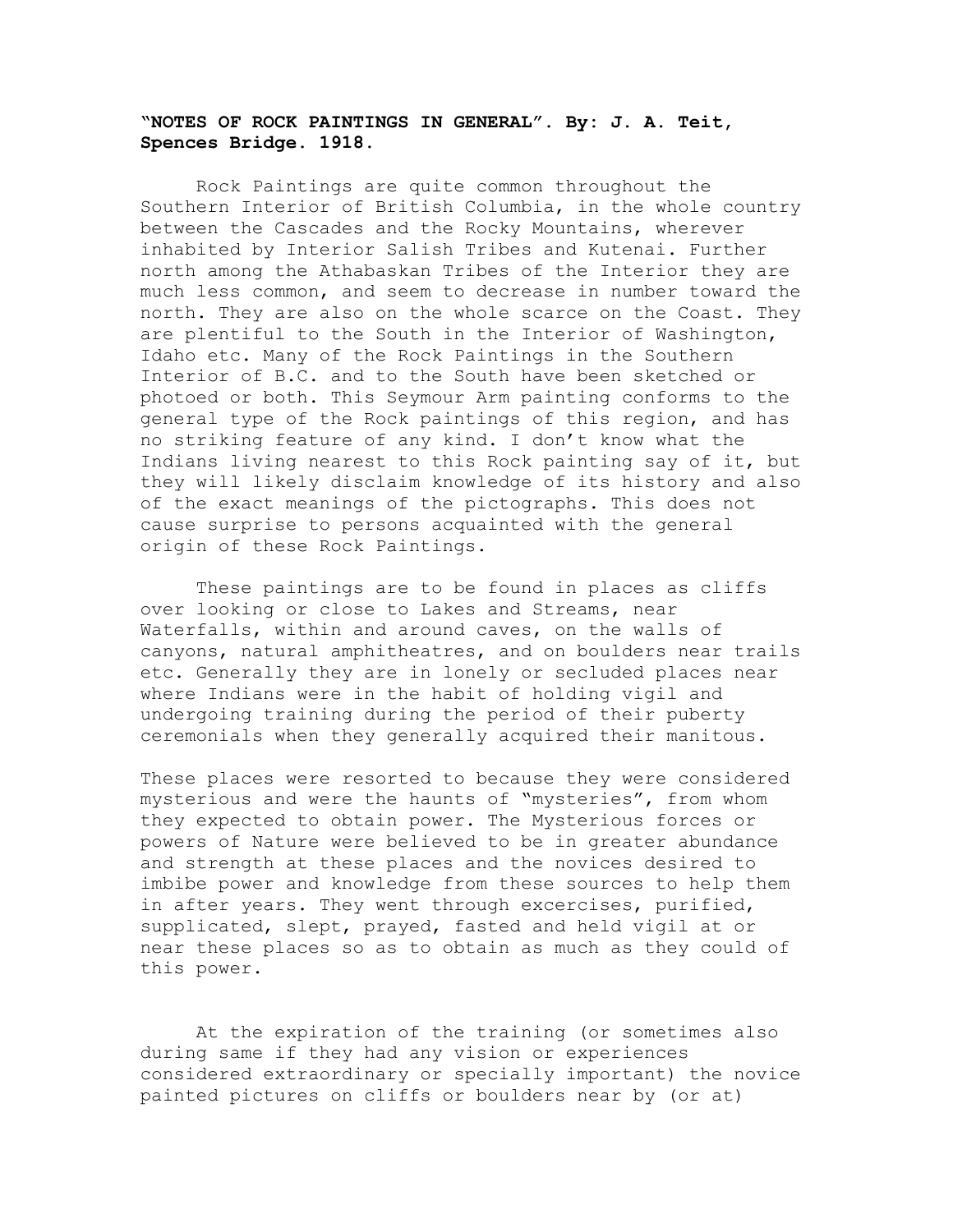## **"NOTES OF ROCK PAINTINGS IN GENERAL". By: J. A. Teit, Spences Bridge. 1918.**

Rock Paintings are quite common throughout the Southern Interior of British Columbia, in the whole country between the Cascades and the Rocky Mountains, wherever inhabited by Interior Salish Tribes and Kutenai. Further north among the Athabaskan Tribes of the Interior they are much less common, and seem to decrease in number toward the north. They are also on the whole scarce on the Coast. They are plentiful to the South in the Interior of Washington, Idaho etc. Many of the Rock Paintings in the Southern Interior of B.C. and to the South have been sketched or photoed or both. This Seymour Arm painting conforms to the general type of the Rock paintings of this region, and has no striking feature of any kind. I don't know what the Indians living nearest to this Rock painting say of it, but they will likely disclaim knowledge of its history and also of the exact meanings of the pictographs. This does not cause surprise to persons acquainted with the general origin of these Rock Paintings.

These paintings are to be found in places as cliffs over looking or close to Lakes and Streams, near Waterfalls, within and around caves, on the walls of canyons, natural amphitheatres, and on boulders near trails etc. Generally they are in lonely or secluded places near where Indians were in the habit of holding vigil and undergoing training during the period of their puberty ceremonials when they generally acquired their manitous.

These places were resorted to because they were considered mysterious and were the haunts of "mysteries", from whom they expected to obtain power. The Mysterious forces or powers of Nature were believed to be in greater abundance and strength at these places and the novices desired to imbibe power and knowledge from these sources to help them in after years. They went through excercises, purified, supplicated, slept, prayed, fasted and held vigil at or near these places so as to obtain as much as they could of this power.

At the expiration of the training (or sometimes also during same if they had any vision or experiences considered extraordinary or specially important) the novice painted pictures on cliffs or boulders near by (or at)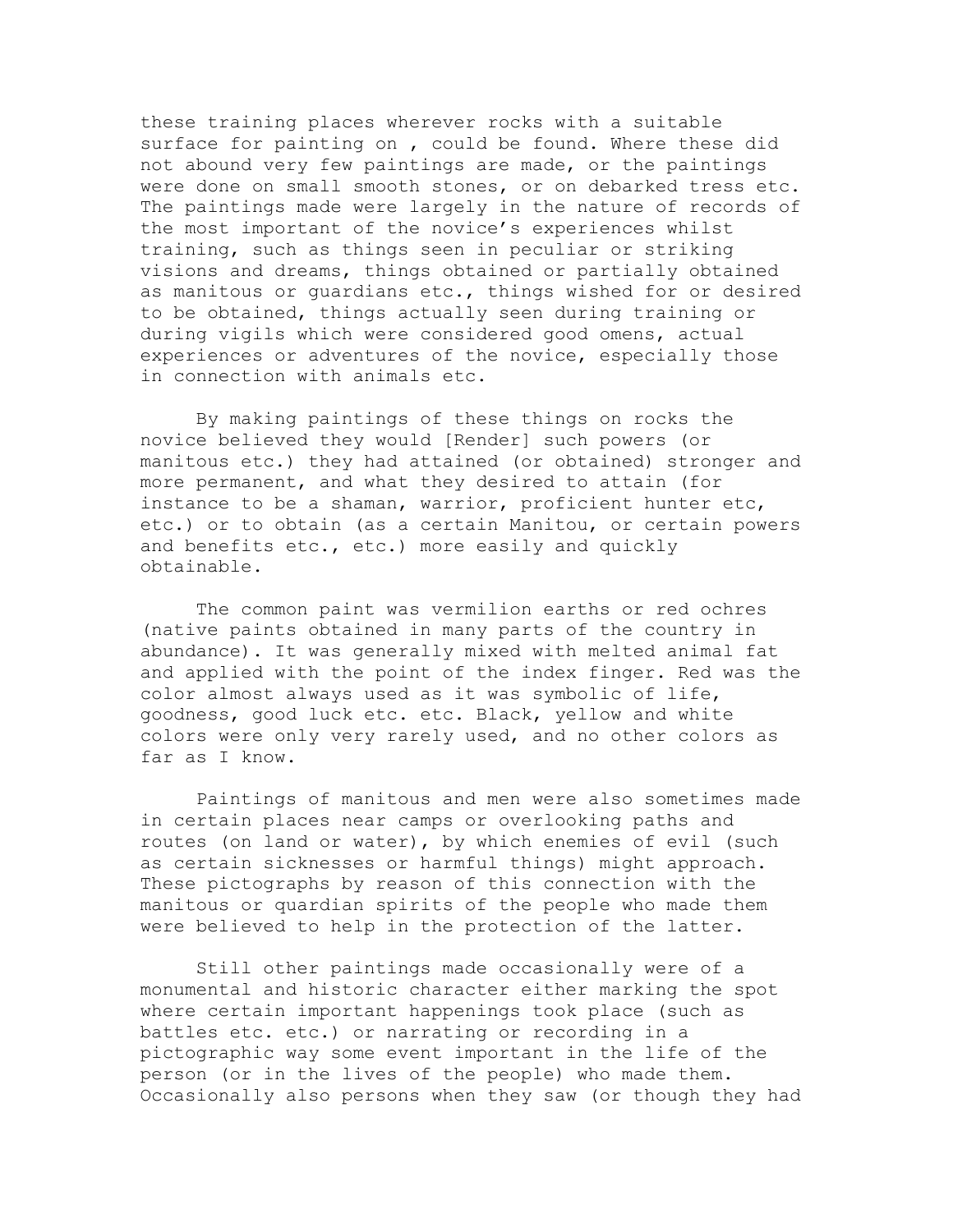these training places wherever rocks with a suitable surface for painting on , could be found. Where these did not abound very few paintings are made, or the paintings were done on small smooth stones, or on debarked tress etc. The paintings made were largely in the nature of records of the most important of the novice's experiences whilst training, such as things seen in peculiar or striking visions and dreams, things obtained or partially obtained as manitous or guardians etc., things wished for or desired to be obtained, things actually seen during training or during vigils which were considered good omens, actual experiences or adventures of the novice, especially those in connection with animals etc.

By making paintings of these things on rocks the novice believed they would [Render] such powers (or manitous etc.) they had attained (or obtained) stronger and more permanent, and what they desired to attain (for instance to be a shaman, warrior, proficient hunter etc, etc.) or to obtain (as a certain Manitou, or certain powers and benefits etc., etc.) more easily and quickly obtainable.

The common paint was vermilion earths or red ochres (native paints obtained in many parts of the country in abundance). It was generally mixed with melted animal fat and applied with the point of the index finger. Red was the color almost always used as it was symbolic of life, goodness, good luck etc. etc. Black, yellow and white colors were only very rarely used, and no other colors as far as I know.

Paintings of manitous and men were also sometimes made in certain places near camps or overlooking paths and routes (on land or water), by which enemies of evil (such as certain sicknesses or harmful things) might approach. These pictographs by reason of this connection with the manitous or quardian spirits of the people who made them were believed to help in the protection of the latter.

Still other paintings made occasionally were of a monumental and historic character either marking the spot where certain important happenings took place (such as battles etc. etc.) or narrating or recording in a pictographic way some event important in the life of the person (or in the lives of the people) who made them. Occasionally also persons when they saw (or though they had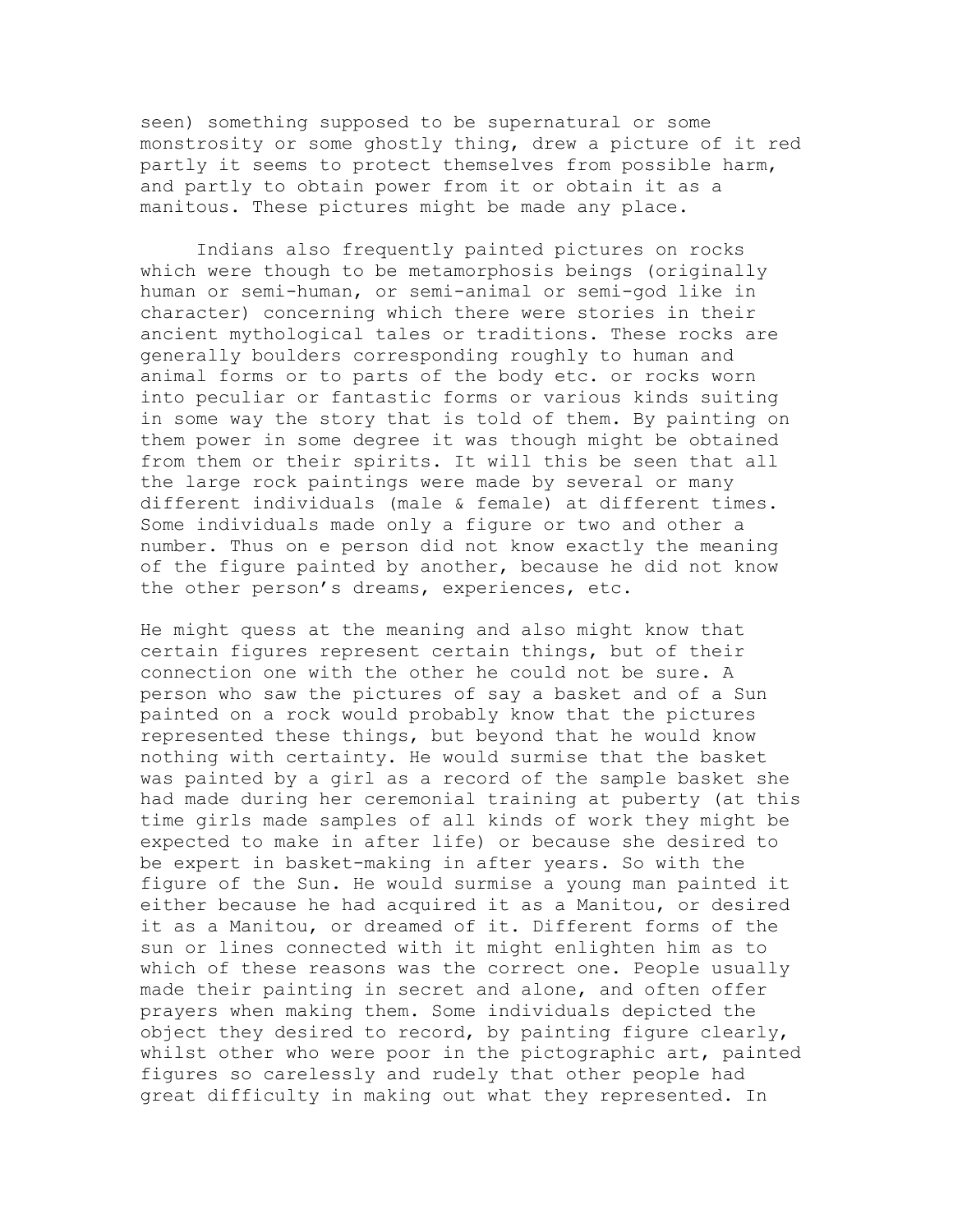seen) something supposed to be supernatural or some monstrosity or some ghostly thing, drew a picture of it red partly it seems to protect themselves from possible harm, and partly to obtain power from it or obtain it as a manitous. These pictures might be made any place.

Indians also frequently painted pictures on rocks which were though to be metamorphosis beings (originally human or semi-human, or semi-animal or semi-god like in character) concerning which there were stories in their ancient mythological tales or traditions. These rocks are generally boulders corresponding roughly to human and animal forms or to parts of the body etc. or rocks worn into peculiar or fantastic forms or various kinds suiting in some way the story that is told of them. By painting on them power in some degree it was though might be obtained from them or their spirits. It will this be seen that all the large rock paintings were made by several or many different individuals (male & female) at different times. Some individuals made only a figure or two and other a number. Thus on e person did not know exactly the meaning of the figure painted by another, because he did not know the other person's dreams, experiences, etc.

He might quess at the meaning and also might know that certain figures represent certain things, but of their connection one with the other he could not be sure. A person who saw the pictures of say a basket and of a Sun painted on a rock would probably know that the pictures represented these things, but beyond that he would know nothing with certainty. He would surmise that the basket was painted by a girl as a record of the sample basket she had made during her ceremonial training at puberty (at this time girls made samples of all kinds of work they might be expected to make in after life) or because she desired to be expert in basket-making in after years. So with the figure of the Sun. He would surmise a young man painted it either because he had acquired it as a Manitou, or desired it as a Manitou, or dreamed of it. Different forms of the sun or lines connected with it might enlighten him as to which of these reasons was the correct one. People usually made their painting in secret and alone, and often offer prayers when making them. Some individuals depicted the object they desired to record, by painting figure clearly, whilst other who were poor in the pictographic art, painted figures so carelessly and rudely that other people had great difficulty in making out what they represented. In